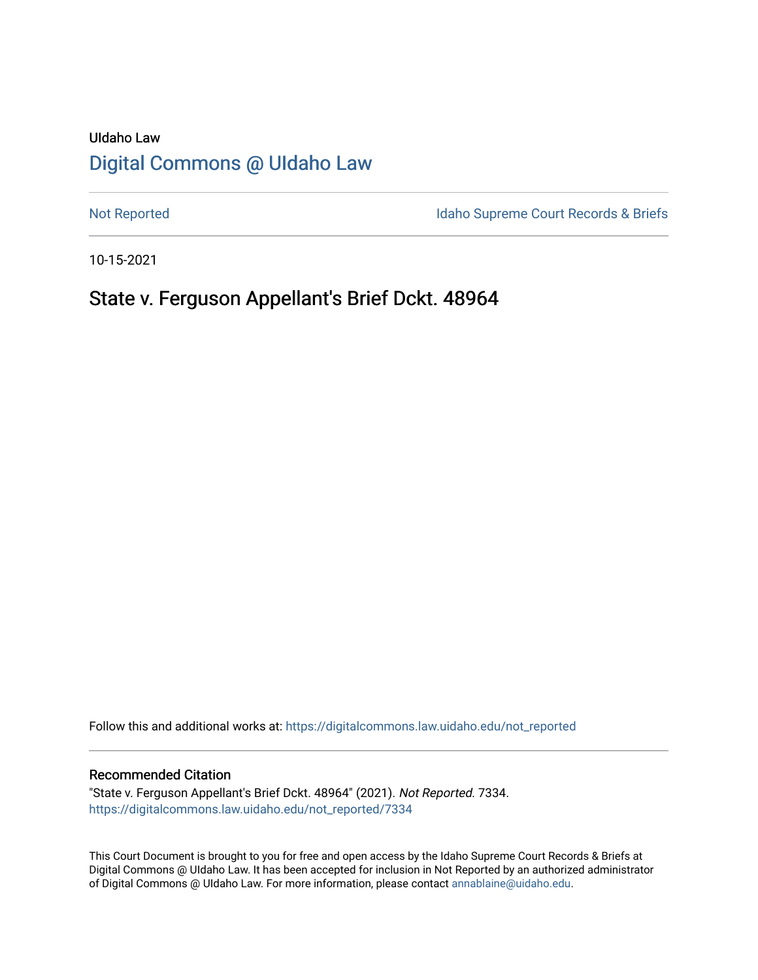# UIdaho Law [Digital Commons @ UIdaho Law](https://digitalcommons.law.uidaho.edu/)

[Not Reported](https://digitalcommons.law.uidaho.edu/not_reported) **Idaho Supreme Court Records & Briefs** 

10-15-2021

# State v. Ferguson Appellant's Brief Dckt. 48964

Follow this and additional works at: [https://digitalcommons.law.uidaho.edu/not\\_reported](https://digitalcommons.law.uidaho.edu/not_reported?utm_source=digitalcommons.law.uidaho.edu%2Fnot_reported%2F7334&utm_medium=PDF&utm_campaign=PDFCoverPages) 

#### Recommended Citation

"State v. Ferguson Appellant's Brief Dckt. 48964" (2021). Not Reported. 7334. [https://digitalcommons.law.uidaho.edu/not\\_reported/7334](https://digitalcommons.law.uidaho.edu/not_reported/7334?utm_source=digitalcommons.law.uidaho.edu%2Fnot_reported%2F7334&utm_medium=PDF&utm_campaign=PDFCoverPages)

This Court Document is brought to you for free and open access by the Idaho Supreme Court Records & Briefs at Digital Commons @ UIdaho Law. It has been accepted for inclusion in Not Reported by an authorized administrator of Digital Commons @ UIdaho Law. For more information, please contact [annablaine@uidaho.edu](mailto:annablaine@uidaho.edu).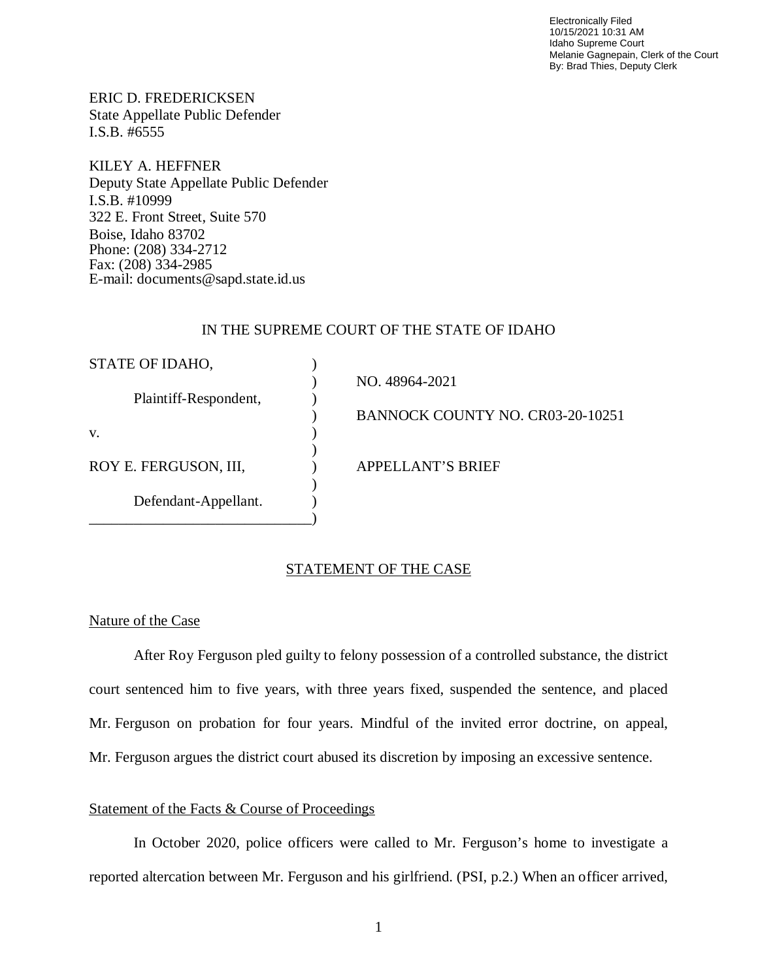Electronically Filed 10/15/2021 10:31 AM Idaho Supreme Court Melanie Gagnepain, Clerk of the Court By: Brad Thies, Deputy Clerk

ERIC D. FREDERICKSEN State Appellate Public Defender I.S.B. #6555

KILEY A. HEFFNER Deputy State Appellate Public Defender I.S.B. #10999 322 E. Front Street, Suite 570 Boise, Idaho 83702 Phone: (208) 334-2712 Fax: (208) 334-2985 E-mail: documents@sapd.state.id.us

### IN THE SUPREME COURT OF THE STATE OF IDAHO

| STATE OF IDAHO,       |                                  |
|-----------------------|----------------------------------|
|                       | NO. 48964-2021                   |
| Plaintiff-Respondent, |                                  |
|                       | BANNOCK COUNTY NO. CR03-20-10251 |
| V.                    |                                  |
|                       |                                  |
| ROY E. FERGUSON, III, | <b>APPELLANT'S BRIEF</b>         |
|                       |                                  |
| Defendant-Appellant.  |                                  |
|                       |                                  |

#### STATEMENT OF THE CASE

#### Nature of the Case

After Roy Ferguson pled guilty to felony possession of a controlled substance, the district court sentenced him to five years, with three years fixed, suspended the sentence, and placed Mr. Ferguson on probation for four years. Mindful of the invited error doctrine, on appeal, Mr. Ferguson argues the district court abused its discretion by imposing an excessive sentence.

#### Statement of the Facts & Course of Proceedings

In October 2020, police officers were called to Mr. Ferguson's home to investigate a reported altercation between Mr. Ferguson and his girlfriend. (PSI, p.2.) When an officer arrived,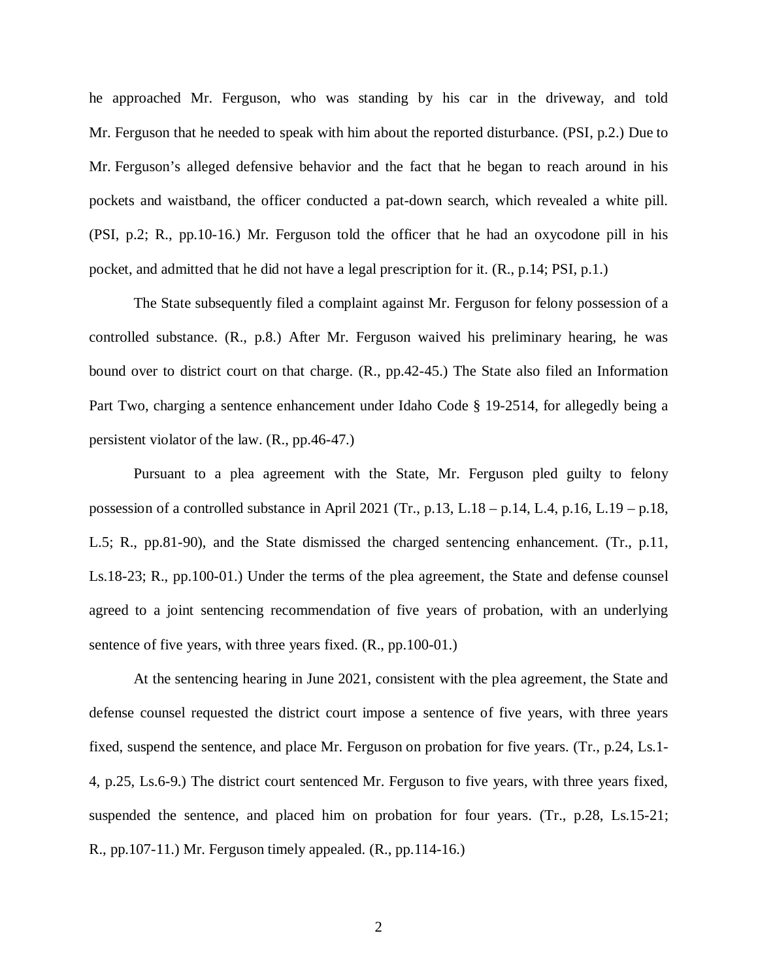he approached Mr. Ferguson, who was standing by his car in the driveway, and told Mr. Ferguson that he needed to speak with him about the reported disturbance. (PSI, p.2.) Due to Mr. Ferguson's alleged defensive behavior and the fact that he began to reach around in his pockets and waistband, the officer conducted a pat-down search, which revealed a white pill. (PSI, p.2; R., pp.10-16.) Mr. Ferguson told the officer that he had an oxycodone pill in his pocket, and admitted that he did not have a legal prescription for it. (R., p.14; PSI, p.1.)

The State subsequently filed a complaint against Mr. Ferguson for felony possession of a controlled substance. (R., p.8.) After Mr. Ferguson waived his preliminary hearing, he was bound over to district court on that charge. (R., pp.42-45.) The State also filed an Information Part Two, charging a sentence enhancement under Idaho Code § 19-2514, for allegedly being a persistent violator of the law. (R., pp.46-47.)

Pursuant to a plea agreement with the State, Mr. Ferguson pled guilty to felony possession of a controlled substance in April 2021 (Tr., p.13, L.18 – p.14, L.4, p.16, L.19 – p.18, L.5; R., pp.81-90), and the State dismissed the charged sentencing enhancement. (Tr., p.11, Ls.18-23; R., pp.100-01.) Under the terms of the plea agreement, the State and defense counsel agreed to a joint sentencing recommendation of five years of probation, with an underlying sentence of five years, with three years fixed. (R., pp.100-01.)

At the sentencing hearing in June 2021, consistent with the plea agreement, the State and defense counsel requested the district court impose a sentence of five years, with three years fixed, suspend the sentence, and place Mr. Ferguson on probation for five years. (Tr., p.24, Ls.1- 4, p.25, Ls.6-9.) The district court sentenced Mr. Ferguson to five years, with three years fixed, suspended the sentence, and placed him on probation for four years. (Tr., p.28, Ls.15-21; R., pp.107-11.) Mr. Ferguson timely appealed. (R., pp.114-16.)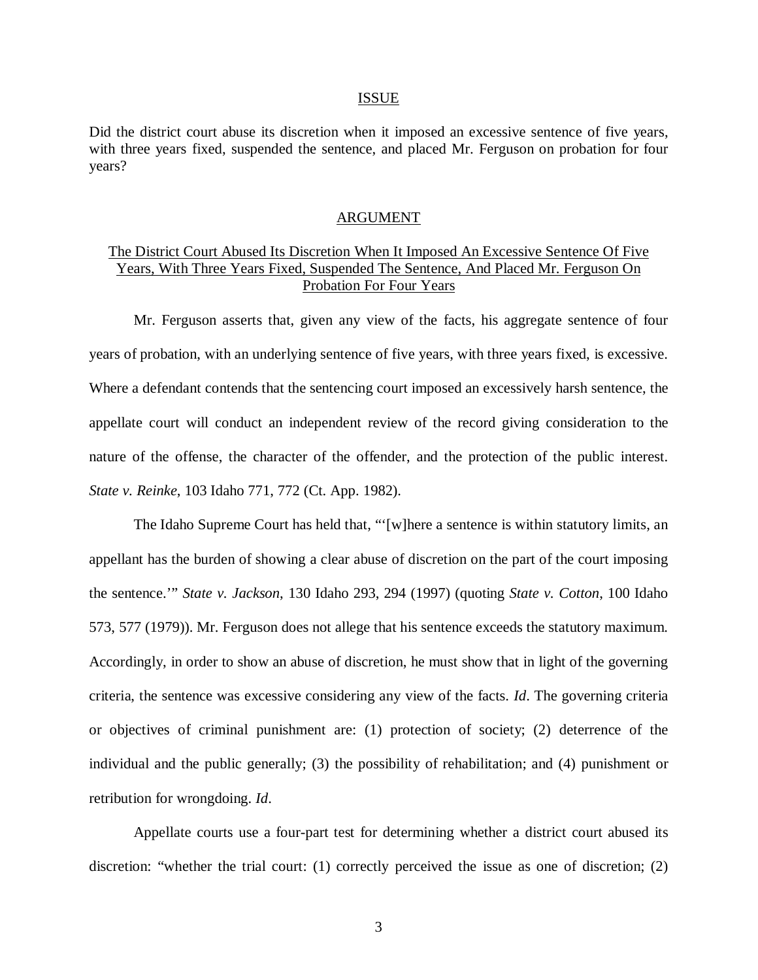#### ISSUE

Did the district court abuse its discretion when it imposed an excessive sentence of five years, with three years fixed, suspended the sentence, and placed Mr. Ferguson on probation for four years?

#### ARGUMENT

# The District Court Abused Its Discretion When It Imposed An Excessive Sentence Of Five Years, With Three Years Fixed, Suspended The Sentence, And Placed Mr. Ferguson On Probation For Four Years

Mr. Ferguson asserts that, given any view of the facts, his aggregate sentence of four years of probation, with an underlying sentence of five years, with three years fixed, is excessive. Where a defendant contends that the sentencing court imposed an excessively harsh sentence, the appellate court will conduct an independent review of the record giving consideration to the nature of the offense, the character of the offender, and the protection of the public interest. *State v. Reinke*, 103 Idaho 771, 772 (Ct. App. 1982).

The Idaho Supreme Court has held that, "'[w]here a sentence is within statutory limits, an appellant has the burden of showing a clear abuse of discretion on the part of the court imposing the sentence.'" *State v. Jackson*, 130 Idaho 293, 294 (1997) (quoting *State v. Cotton*, 100 Idaho 573, 577 (1979)). Mr. Ferguson does not allege that his sentence exceeds the statutory maximum. Accordingly, in order to show an abuse of discretion, he must show that in light of the governing criteria, the sentence was excessive considering any view of the facts. *Id*. The governing criteria or objectives of criminal punishment are: (1) protection of society; (2) deterrence of the individual and the public generally; (3) the possibility of rehabilitation; and (4) punishment or retribution for wrongdoing. *Id*.

Appellate courts use a four-part test for determining whether a district court abused its discretion: "whether the trial court: (1) correctly perceived the issue as one of discretion; (2)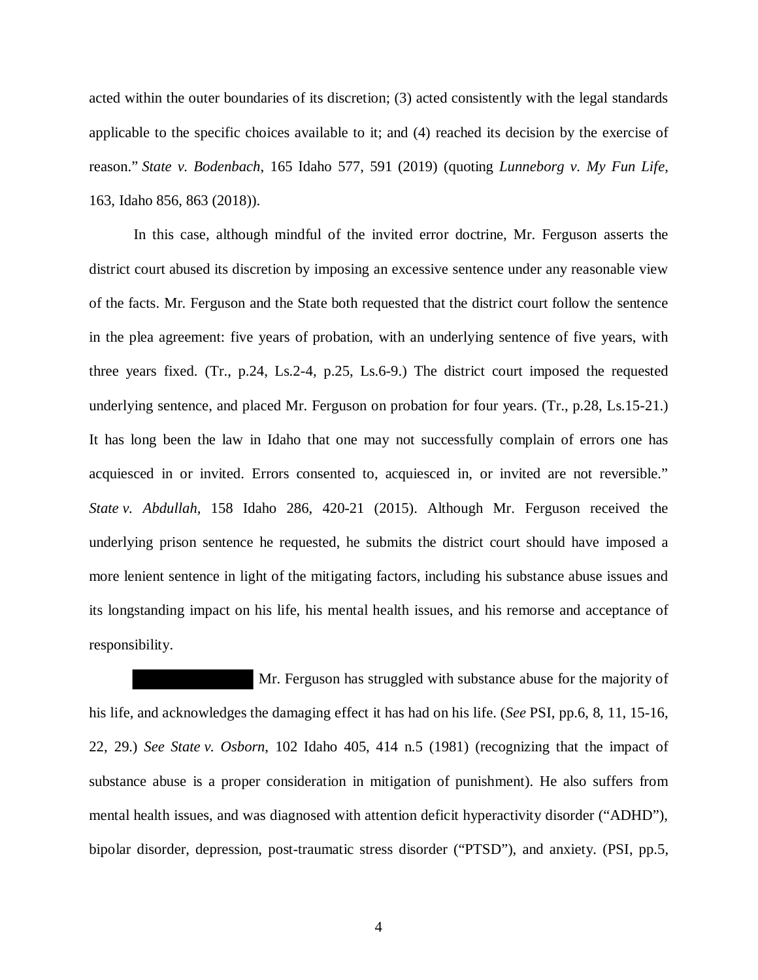acted within the outer boundaries of its discretion; (3) acted consistently with the legal standards applicable to the specific choices available to it; and (4) reached its decision by the exercise of reason." *State v. Bodenbach*, 165 Idaho 577, 591 (2019) (quoting *Lunneborg v. My Fun Life*, 163, Idaho 856, 863 (2018)).

In this case, although mindful of the invited error doctrine, Mr. Ferguson asserts the district court abused its discretion by imposing an excessive sentence under any reasonable view of the facts. Mr. Ferguson and the State both requested that the district court follow the sentence in the plea agreement: five years of probation, with an underlying sentence of five years, with three years fixed. (Tr., p.24, Ls.2-4, p.25, Ls.6-9.) The district court imposed the requested underlying sentence, and placed Mr. Ferguson on probation for four years. (Tr., p.28, Ls.15-21.) It has long been the law in Idaho that one may not successfully complain of errors one has acquiesced in or invited. Errors consented to, acquiesced in, or invited are not reversible." *State v. Abdullah*, 158 Idaho 286, 420-21 (2015). Although Mr. Ferguson received the underlying prison sentence he requested, he submits the district court should have imposed a more lenient sentence in light of the mitigating factors, including his substance abuse issues and its longstanding impact on his life, his mental health issues, and his remorse and acceptance of responsibility.

 Mr. Ferguson has struggled with substance abuse for the majority of his life, and acknowledges the damaging effect it has had on his life. (*See* PSI, pp.6, 8, 11, 15-16, 22, 29.) *See State v. Osborn*, 102 Idaho 405, 414 n.5 (1981) (recognizing that the impact of substance abuse is a proper consideration in mitigation of punishment). He also suffers from mental health issues, and was diagnosed with attention deficit hyperactivity disorder ("ADHD"), bipolar disorder, depression, post-traumatic stress disorder ("PTSD"), and anxiety. (PSI, pp.5,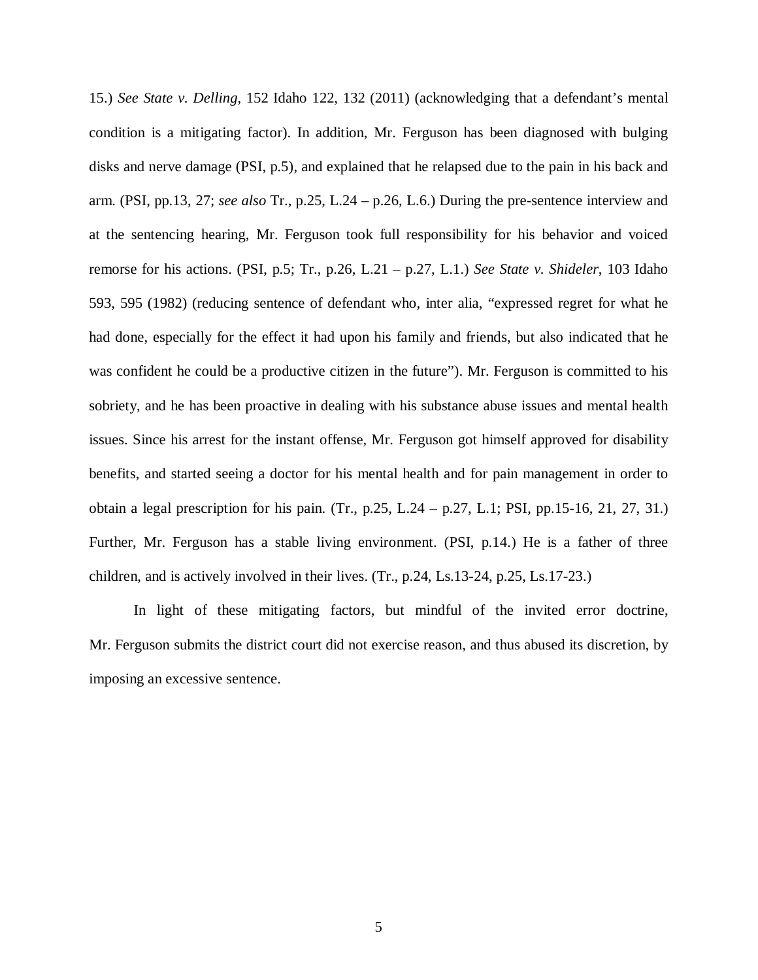15.) *See State v. Delling*, 152 Idaho 122, 132 (2011) (acknowledging that a defendant's mental condition is a mitigating factor). In addition, Mr. Ferguson has been diagnosed with bulging disks and nerve damage (PSI, p.5), and explained that he relapsed due to the pain in his back and arm. (PSI, pp.13, 27; *see also* Tr., p.25, L.24 – p.26, L.6.) During the pre-sentence interview and at the sentencing hearing, Mr. Ferguson took full responsibility for his behavior and voiced remorse for his actions. (PSI, p.5; Tr., p.26, L.21 – p.27, L.1.) *See State v. Shideler*, 103 Idaho 593, 595 (1982) (reducing sentence of defendant who, inter alia, "expressed regret for what he had done, especially for the effect it had upon his family and friends, but also indicated that he was confident he could be a productive citizen in the future"). Mr. Ferguson is committed to his sobriety, and he has been proactive in dealing with his substance abuse issues and mental health issues. Since his arrest for the instant offense, Mr. Ferguson got himself approved for disability benefits, and started seeing a doctor for his mental health and for pain management in order to obtain a legal prescription for his pain. (Tr., p.25, L.24 – p.27, L.1; PSI, pp.15-16, 21, 27, 31.) Further, Mr. Ferguson has a stable living environment. (PSI, p.14.) He is a father of three children, and is actively involved in their lives. (Tr., p.24, Ls.13-24, p.25, Ls.17-23.)

In light of these mitigating factors, but mindful of the invited error doctrine, Mr. Ferguson submits the district court did not exercise reason, and thus abused its discretion, by imposing an excessive sentence.